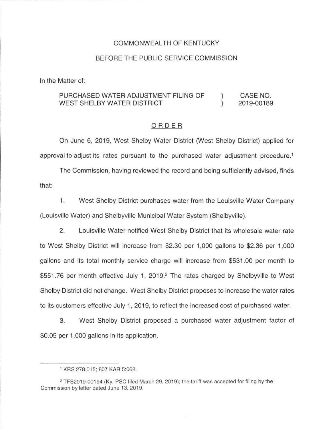#### COMMONWEALTH OF KENTUCKY

#### BEFORE THE PUBLIC SERVICE COMMISSION

In the Matter of:

#### PURCHASED WATER ADJUSTMENT FILING OF WEST SHELBY WATER DISTRICT ) ) CASE NO. 2019-00189

#### ORDER

On June 6, 2019, West Shelby Water District (West Shelby District) applied for approval to adjust its rates pursuant to the purchased water adjustment procedure. 1

The Commission, having reviewed the record and being sufficiently advised, finds that:

1. West Shelby District purchases water from the Louisville Water Company (Louisville Water) and Shelbyville Municipal Water System (Shelbyville).

2. Louisville Water notified West Shelby District that its wholesale water rate to West Shelby District will increase from \$2.30 per 1,000 gallons to \$2.36 per 1,000 gallons and its total monthly service charge will increase from \$531.00 per month to \$551.76 per month effective July 1, 2019.<sup>2</sup> The rates charged by Shelbyville to West Shelby District did not change. West Shelby District proposes to increase the water rates to its customers effective July 1, 2019, to reflect the increased cost of purchased water.

3. West Shelby District proposed a purchased water adjustment factor of \$0.05 per 1,000 gallons in its application.

<sup>1</sup>KRS 278.015; 807 KAR 5:068.

<sup>2</sup> TFS2019-00194 (Ky. PSC filed March 29, 2019); the tariff was accepted for filing by the Commission by letter dated June 13, 2019.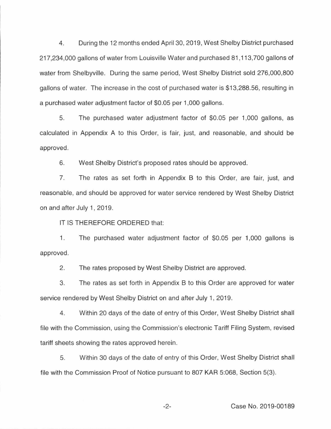4. During the 12 months ended April 30, 2019, West Shelby District purchased 217,234,000 gallons of water from Louisville Water and purchased 81 , 113,700 gallons of water from Shelbyville. During the same period, West Shelby District sold 276,000,800 gallons of water. The increase in the cost of purchased water is \$13,288.56, resulting in a purchased water adjustment factor of \$0.05 per 1,000 gallons.

5. The purchased water adjustment factor of \$0.05 per 1 ,000 gallons, as calculated in Appendix A to this Order, is fair, just, and reasonable, and should be approved.

6. West Shelby District's proposed rates should be approved.

7. The rates as set forth in Appendix B to this Order, are fair, just, and reasonable, and should be approved for water service rendered by West Shelby District on and after July 1, 2019.

IT IS THEREFORE ORDERED that:

1. The purchased water adjustment factor of \$0.05 per 1,000 gallons is approved.

2. The rates proposed by West Shelby District are approved.

3. The rates as set forth in Appendix B to this Order are approved for water service rendered by West Shelby District on and after July 1, 2019.

4. Within 20 days of the date of entry of this Order, West Shelby District shall file with the Commission, using the Commission's electronic Tariff Filing System, revised tariff sheets showing the rates approved herein.

5. Within 30 days of the date of entry of this Order, West Shelby District shall file with the Commission Proof of Notice pursuant to 807 KAR 5:068, Section 5(3).

-2- Case No. 2019-00189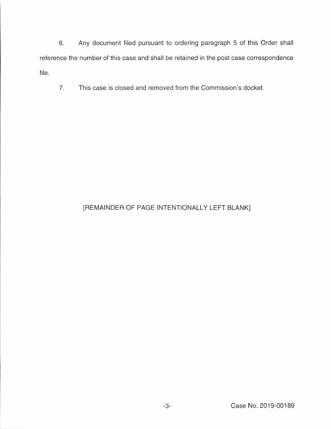6. Any document filed pursuant to ordering paragraph 5 of this Order shall reference the number of this case and shall be retained in the post case correspondence file.

7. This case is closed and removed from the Commission's docket.

# [REMAINDER OF PAGE INTENTIONALLY **LEFT** BLANK]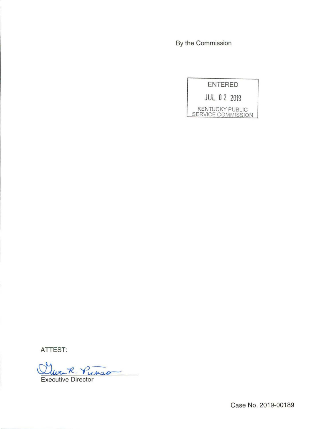By the Commission



ATTEST:

Mur R. Punso

Executive Director

Case No. 2019-00189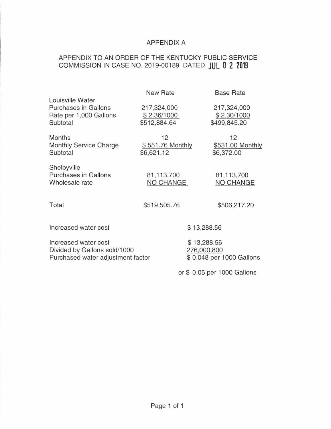# APPENDIX A

# APPENDIX TO AN ORDER OF THE KENTUCKY PUBLIC SERVICE COMMISSION IN CASE NO. 2019-00189 DATED **JUL 0 2 <sup>2019</sup>**

|                                                                                           | <b>New Rate</b>                            |                            | <b>Base Rate</b>                           |
|-------------------------------------------------------------------------------------------|--------------------------------------------|----------------------------|--------------------------------------------|
| Louisville Water<br><b>Purchases in Gallons</b><br>Rate per 1,000 Gallons<br>Subtotal     | 217,324,000<br>\$2.36/1000<br>\$512,884.64 |                            | 217,324,000<br>\$2.30/1000<br>\$499,845.20 |
| <b>Months</b><br>Monthly Service Charge<br>Subtotal                                       | 12<br>\$551.76 Monthly<br>\$6,621.12       |                            | 12<br>\$531.00 Monthly<br>\$6,372.00       |
| Shelbyville<br><b>Purchases in Gallons</b><br>Wholesale rate                              | 81,113,700<br>NO CHANGE                    |                            | 81,113,700<br>NO CHANGE                    |
| Total                                                                                     | \$519,505.76                               |                            | \$506,217.20                               |
| Increased water cost                                                                      |                                            | \$13,288.56                |                                            |
| Increased water cost<br>Divided by Gallons sold/1000<br>Purchased water adjustment factor |                                            | \$13,288.56<br>276,000,800 | \$0.048 per 1000 Gallons                   |
|                                                                                           |                                            |                            | or \$ 0.05 per 1000 Gallons                |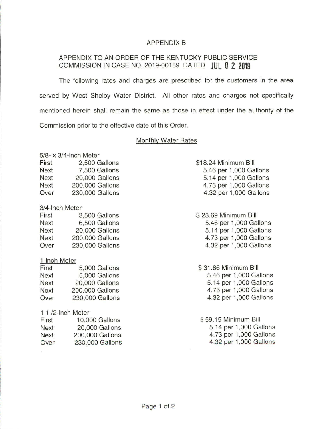### APPENDIX B

## APPENDIX TO AN ORDER OF THE KENTUCKY PUBLIC SERVICE COMMISSION IN CASE NO. 2019-00189 DATED **JUL 0 2 2019**

The following rates and charges are prescribed for the customers in the area served by West Shelby Water District. All other rates and charges not specifically mentioned herein shall remain the same as those in effect under the authority of the Commission prior to the effective date of this Order.

### Monthly Water Rates

|                   | $5/8$ - x $3/4$ -Inch Meter |                        |
|-------------------|-----------------------------|------------------------|
| First             | 2,500 Gallons               | \$18.24 Minimum Bill   |
| Next              | 7,500 Gallons               | 5.46 per 1,000 Gallons |
| Next              | 20,000 Gallons              | 5.14 per 1,000 Gallons |
| Next              | 200,000 Gallons             | 4.73 per 1,000 Gallons |
| Over              | 230,000 Gallons             | 4.32 per 1,000 Gallons |
| 3/4-Inch Meter    |                             |                        |
| First             | 3,500 Gallons               | \$23.69 Minimum Bill   |
| Next              | 6,500 Gallons               | 5.46 per 1,000 Gallons |
| Next              | 20,000 Gallons              | 5.14 per 1,000 Gallons |
| Next              | 200,000 Gallons             | 4.73 per 1,000 Gallons |
| Over              | 230,000 Gallons             | 4.32 per 1,000 Gallons |
| 1-Inch Meter      |                             |                        |
| First             | 5,000 Gallons               | \$31.86 Minimum Bill   |
| Next              | 5,000 Gallons               | 5.46 per 1,000 Gallons |
| Next              | 20,000 Gallons              | 5.14 per 1,000 Gallons |
| Next              | 200,000 Gallons             | 4.73 per 1,000 Gallons |
| Over              | 230,000 Gallons             | 4.32 per 1,000 Gallons |
| 1 1 /2-Inch Meter |                             |                        |
| First             | 10,000 Gallons              | \$59.15 Minimum Bill   |
| Next              | 20,000 Gallons              | 5.14 per 1,000 Gallons |
| Next              | 200,000 Gallons             | 4.73 per 1,000 Gallons |
| Over              | 230,000 Gallons             | 4.32 per 1,000 Gallons |
|                   |                             |                        |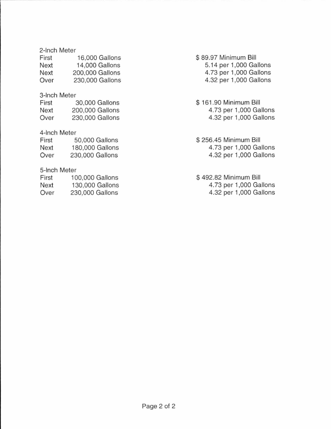#### 2-lnch Meter

| First | 16,000 Gallons  |
|-------|-----------------|
| Next  | 14,000 Gallons  |
| Next  | 200,000 Gallons |
| Over  | 230,000 Gallons |

### 3-lnch Meter

| First | 30,000 Gallons  |
|-------|-----------------|
| Next  | 200,000 Gallons |
| Over  | 230,000 Gallons |

## 4-lnch Meter

| First | 50,000 Gallons  |
|-------|-----------------|
| Next  | 180,000 Gallons |
| Over  | 230,000 Gallons |

# 5-lnch Meter

| First | 100,000 Gallons |
|-------|-----------------|
| Next  | 130,000 Gallons |
| Over  | 230,000 Gallons |

## \$ 89.97 Minimum Bill 5.14 per 1 ,000 Gallons 4. 73 per 1,000 Gallons 4.32 per 1,000 Gallons

## \$ 161 .90 Minimum Bill 4.73 per 1,000 Gallons 4.32 per 1 ,000 Gallons

\$ 256.45 Minimum Bill 4.73 per 1,000 Gallons 4.32 per 1 ,000 Gallons

\$ 492.82 Minimum Bill 4. 73 per 1 ,000 Gallons 4.32 per 1 ,000 Gallons